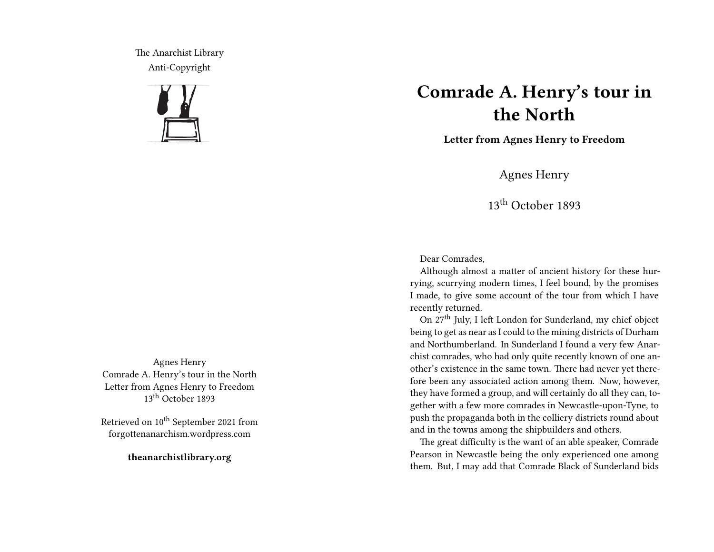The Anarchist Library Anti-Copyright



## **Comrade A. Henry's tour in the North**

**Letter from Agnes Henry to Freedom**

Agnes Henry

13th October 1893

Dear Comrades,

Although almost a matter of ancient history for these hurrying, scurrying modern times, I feel bound, by the promises I made, to give some account of the tour from which I have recently returned.

On 27th July, I left London for Sunderland, my chief object being to get as near as I could to the mining districts of Durham and Northumberland. In Sunderland I found a very few Anarchist comrades, who had only quite recently known of one another's existence in the same town. There had never yet therefore been any associated action among them. Now, however, they have formed a group, and will certainly do all they can, together with a few more comrades in Newcastle-upon-Tyne, to push the propaganda both in the colliery districts round about and in the towns among the shipbuilders and others.

The great difficulty is the want of an able speaker, Comrade Pearson in Newcastle being the only experienced one among them. But, I may add that Comrade Black of Sunderland bids

Agnes Henry Comrade A. Henry's tour in the North Letter from Agnes Henry to Freedom 13<sup>th</sup> October 1893

Retrieved on 10<sup>th</sup> September 2021 from forgottenanarchism.wordpress.com

**theanarchistlibrary.org**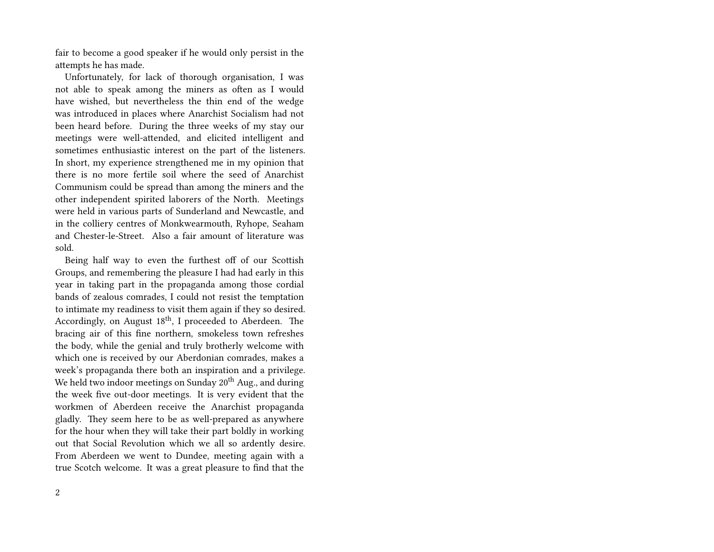fair to become a good speaker if he would only persist in the attempts he has made.

Unfortunately, for lack of thorough organisation, I was not able to speak among the miners as often as I would have wished, but nevertheless the thin end of the wedge was introduced in places where Anarchist Socialism had not been heard before. During the three weeks of my stay our meetings were well-attended, and elicited intelligent and sometimes enthusiastic interest on the part of the listeners. In short, my experience strengthened me in my opinion that there is no more fertile soil where the seed of Anarchist Communism could be spread than among the miners and the other independent spirited laborers of the North. Meetings were held in various parts of Sunderland and Newcastle, and in the colliery centres of Monkwearmouth, Ryhope, Seaham and Chester-le-Street. Also a fair amount of literature was sold.

Being half way to even the furthest off of our Scottish Groups, and remembering the pleasure I had had early in this year in taking part in the propaganda among those cordial bands of zealous comrades, I could not resist the temptation to intimate my readiness to visit them again if they so desired. Accordingly, on August 18<sup>th</sup>, I proceeded to Aberdeen. The bracing air of this fine northern, smokeless town refreshes the body, while the genial and truly brotherly welcome with which one is received by our Aberdonian comrades, makes a week's propaganda there both an inspiration and a privilege. We held two indoor meetings on Sunday  $20^{th}$  Aug., and during the week five out-door meetings. It is very evident that the workmen of Aberdeen receive the Anarchist propaganda gladly. They seem here to be as well-prepared as anywhere for the hour when they will take their part boldly in working out that Social Revolution which we all so ardently desire. From Aberdeen we went to Dundee, meeting again with a true Scotch welcome. It was a great pleasure to find that the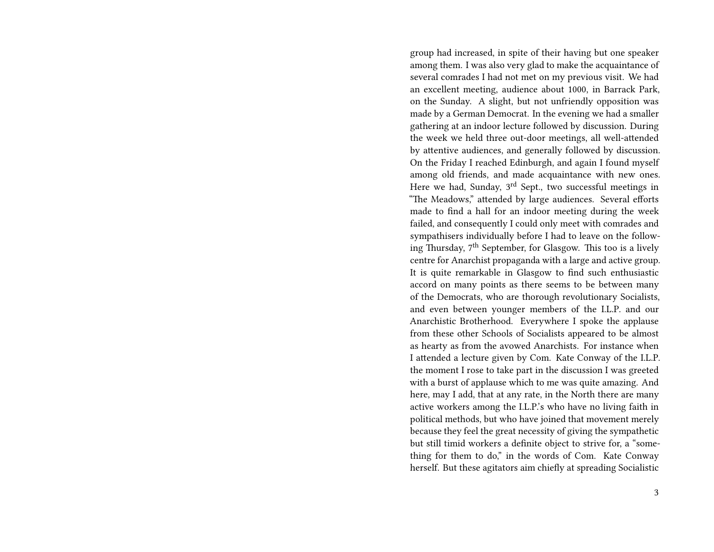group had increased, in spite of their having but one speaker among them. I was also very glad to make the acquaintance of several comrades I had not met on my previous visit. We had an excellent meeting, audience about 1000, in Barrack Park, on the Sunday. A slight, but not unfriendly opposition was made by a German Democrat. In the evening we had a smaller gathering at an indoor lecture followed by discussion. During the week we held three out-door meetings, all well-attended by attentive audiences, and generally followed by discussion. On the Friday I reached Edinburgh, and again I found myself among old friends, and made acquaintance with new ones. Here we had, Sunday,  $3<sup>rd</sup>$  Sept., two successful meetings in "The Meadows," attended by large audiences. Several efforts made to find a hall for an indoor meeting during the week failed, and consequently I could only meet with comrades and sympathisers individually before I had to leave on the following Thursday, 7<sup>th</sup> September, for Glasgow. This too is a lively centre for Anarchist propaganda with a large and active group. It is quite remarkable in Glasgow to find such enthusiastic accord on many points as there seems to be between many of the Democrats, who are thorough revolutionary Socialists, and even between younger members of the I.L.P. and our Anarchistic Brotherhood. Everywhere I spoke the applause from these other Schools of Socialists appeared to be almost as hearty as from the avowed Anarchists. For instance when I attended a lecture given by Com. Kate Conway of the I.L.P. the moment I rose to take part in the discussion I was greeted with a burst of applause which to me was quite amazing. And here, may I add, that at any rate, in the North there are many active workers among the I.L.P.'s who have no living faith in political methods, but who have joined that movement merely because they feel the great necessity of giving the sympathetic but still timid workers a definite object to strive for, a "something for them to do," in the words of Com. Kate Conway herself. But these agitators aim chiefly at spreading Socialistic